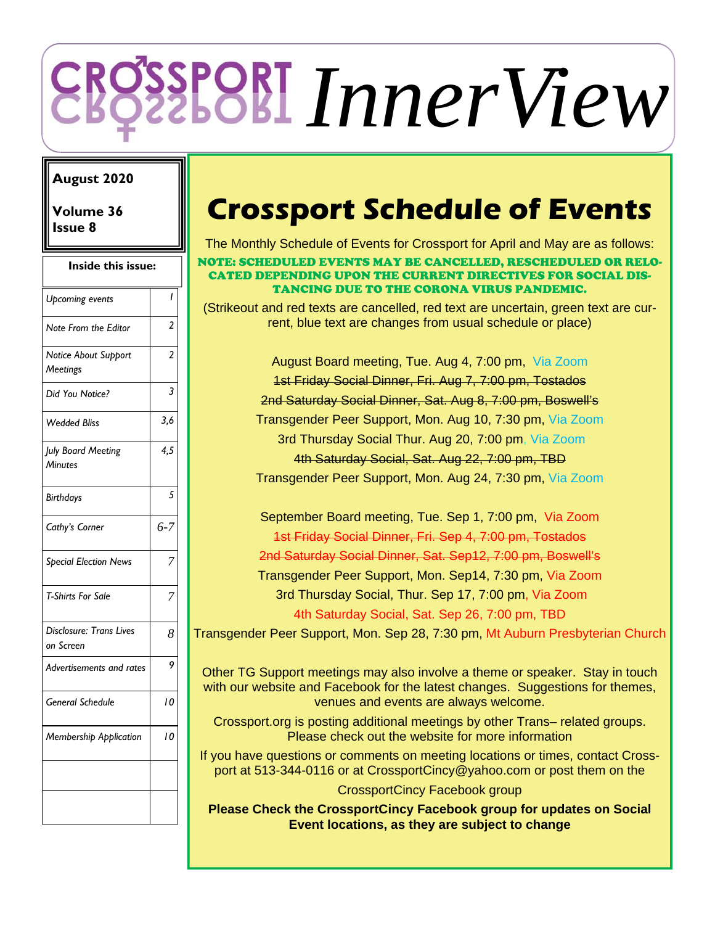# *InnerView*

## **August 2020**

**Volume 36** 

| Inside this issue:                   |                 |  |
|--------------------------------------|-----------------|--|
| Upcoming events                      | ı               |  |
| Note From the Editor                 | $\overline{c}$  |  |
| Notice About Support<br>Meetings     | $\overline{2}$  |  |
| Did You Notice?                      | 3               |  |
| <b>Wedded Bliss</b>                  | 3,6             |  |
| July Board Meeting<br>Minutes        | $\frac{4.5}{5}$ |  |
| <b>Birthdays</b>                     | 5               |  |
| Cathy's Corner                       | $6 - 7$         |  |
| <b>Special Election News</b>         |                 |  |
| <b>T-Shirts For Sale</b>             |                 |  |
| Disclosure: Trans Lives<br>on Screen | 8               |  |
| Advertisements and rates             | 9               |  |
| <b>General Schedule</b>              | 10              |  |
| Membership Application               | 10              |  |
|                                      |                 |  |

# **Issue 8 <b>Crossport Schedule of Events**

The Monthly Schedule of Events for Crossport for April and May are as follows:

#### NOTE: SCHEDULED EVENTS MAY BE CANCELLED, RESCHEDULED OR RELO-CATED DEPENDING UPON THE CURRENT DIRECTIVES FOR SOCIAL DIS-TANCING DUE TO THE CORONA VIRUS PANDEMIC.

(Strikeout and red texts are cancelled, red text are uncertain, green text are current, blue text are changes from usual schedule or place)

> August Board meeting, Tue. Aug 4, 7:00 pm, Via Zoom 1st Friday Social Dinner, Fri. Aug 7, 7:00 pm, Tostados 2nd Saturday Social Dinner, Sat. Aug 8, 7:00 pm, Boswell's Transgender Peer Support, Mon. Aug 10, 7:30 pm, Via Zoom 3rd Thursday Social Thur. Aug 20, 7:00 pm, Via Zoom 4th Saturday Social, Sat. Aug 22, 7:00 pm, TBD Transgender Peer Support, Mon. Aug 24, 7:30 pm, Via Zoom

September Board meeting, Tue. Sep 1, 7:00 pm, Via Zoom 1st Friday Social Dinner, Fri. Sep 4, 7:00 pm, Tostados 2nd Saturday Social Dinner, Sat. Sep12, 7:00 pm, Boswell's Transgender Peer Support, Mon. Sep14, 7:30 pm, Via Zoom 3rd Thursday Social, Thur. Sep 17, 7:00 pm, Via Zoom 4th Saturday Social, Sat. Sep 26, 7:00 pm, TBD

Transgender Peer Support, Mon. Sep 28, 7:30 pm, Mt Auburn Presbyterian Church

Other TG Support meetings may also involve a theme or speaker. Stay in touch with our website and Facebook for the latest changes. Suggestions for themes, venues and events are always welcome.

Crossport.org is posting additional meetings by other Trans– related groups. Please check out the website for more information

If you have questions or comments on meeting locations or times, contact Crossport at 513-344-0116 or at CrossportCincy@yahoo.com or post them on the

CrossportCincy Facebook group

**Please Check the CrossportCincy Facebook group for updates on Social Event locations, as they are subject to change**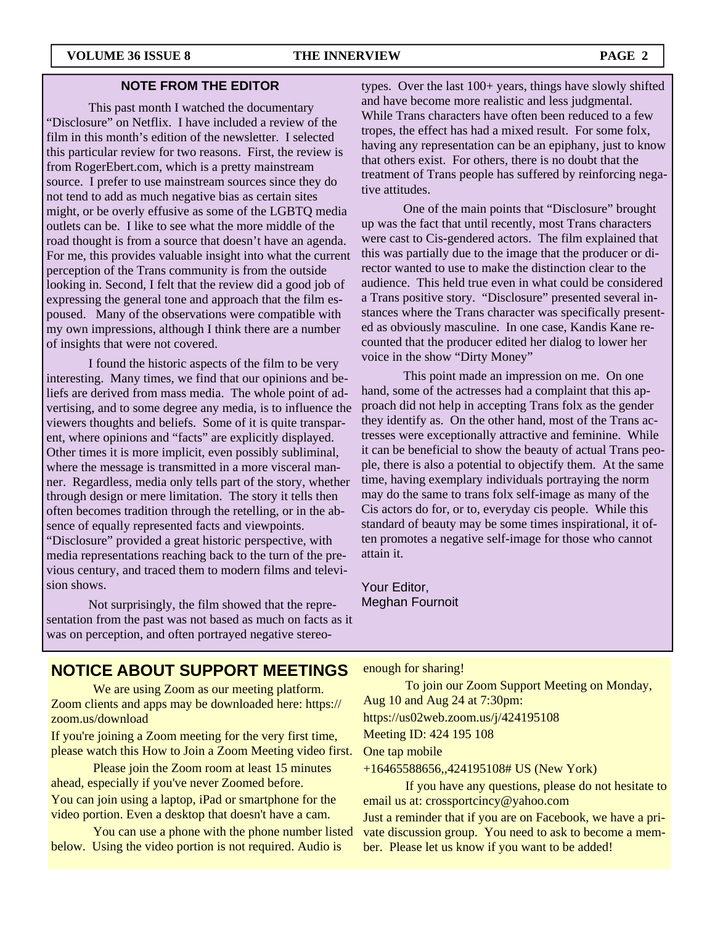#### **NOTE FROM THE EDITOR**

This past month I watched the documentary "Disclosure" on Netflix. I have included a review of the film in this month's edition of the newsletter. I selected this particular review for two reasons. First, the review is from RogerEbert.com, which is a pretty mainstream source. I prefer to use mainstream sources since they do not tend to add as much negative bias as certain sites might, or be overly effusive as some of the LGBTQ media outlets can be. I like to see what the more middle of the road thought is from a source that doesn't have an agenda. For me, this provides valuable insight into what the current perception of the Trans community is from the outside looking in. Second, I felt that the review did a good job of expressing the general tone and approach that the film espoused. Many of the observations were compatible with my own impressions, although I think there are a number of insights that were not covered.

 I found the historic aspects of the film to be very interesting. Many times, we find that our opinions and beliefs are derived from mass media. The whole point of advertising, and to some degree any media, is to influence the viewers thoughts and beliefs. Some of it is quite transparent, where opinions and "facts" are explicitly displayed. Other times it is more implicit, even possibly subliminal, where the message is transmitted in a more visceral manner. Regardless, media only tells part of the story, whether through design or mere limitation. The story it tells then often becomes tradition through the retelling, or in the absence of equally represented facts and viewpoints. "Disclosure" provided a great historic perspective, with media representations reaching back to the turn of the previous century, and traced them to modern films and television shows.

 Not surprisingly, the film showed that the representation from the past was not based as much on facts as it was on perception, and often portrayed negative stereo-

types. Over the last 100+ years, things have slowly shifted and have become more realistic and less judgmental. While Trans characters have often been reduced to a few tropes, the effect has had a mixed result. For some folx, having any representation can be an epiphany, just to know that others exist. For others, there is no doubt that the treatment of Trans people has suffered by reinforcing negative attitudes.

 One of the main points that "Disclosure" brought up was the fact that until recently, most Trans characters were cast to Cis-gendered actors. The film explained that this was partially due to the image that the producer or director wanted to use to make the distinction clear to the audience. This held true even in what could be considered a Trans positive story. "Disclosure" presented several instances where the Trans character was specifically presented as obviously masculine. In one case, Kandis Kane recounted that the producer edited her dialog to lower her voice in the show "Dirty Money"

 This point made an impression on me. On one hand, some of the actresses had a complaint that this approach did not help in accepting Trans folx as the gender they identify as. On the other hand, most of the Trans actresses were exceptionally attractive and feminine. While it can be beneficial to show the beauty of actual Trans people, there is also a potential to objectify them. At the same time, having exemplary individuals portraying the norm may do the same to trans folx self-image as many of the Cis actors do for, or to, everyday cis people. While this standard of beauty may be some times inspirational, it often promotes a negative self-image for those who cannot attain it.

Your Editor, Meghan Fournoit

## **NOTICE ABOUT SUPPORT MEETINGS**

We are using Zoom as our meeting platform. Zoom clients and apps may be downloaded here: https:// zoom.us/download

If you're joining a Zoom meeting for the very first time, please watch this How to Join a Zoom Meeting video first.

 Please join the Zoom room at least 15 minutes ahead, especially if you've never Zoomed before. You can join using a laptop, iPad or smartphone for the

video portion. Even a desktop that doesn't have a cam.

 You can use a phone with the phone number listed below. Using the video portion is not required. Audio is

enough for sharing!

 To join our Zoom Support Meeting on Monday, Aug 10 and Aug 24 at 7:30pm: https://us02web.zoom.us/j/424195108 Meeting ID: 424 195 108 One tap mobile

+16465588656,,424195108# US (New York)

 If you have any questions, please do not hesitate to email us at: crossportcincy@yahoo.com

Just a reminder that if you are on Facebook, we have a private discussion group. You need to ask to become a member. Please let us know if you want to be added!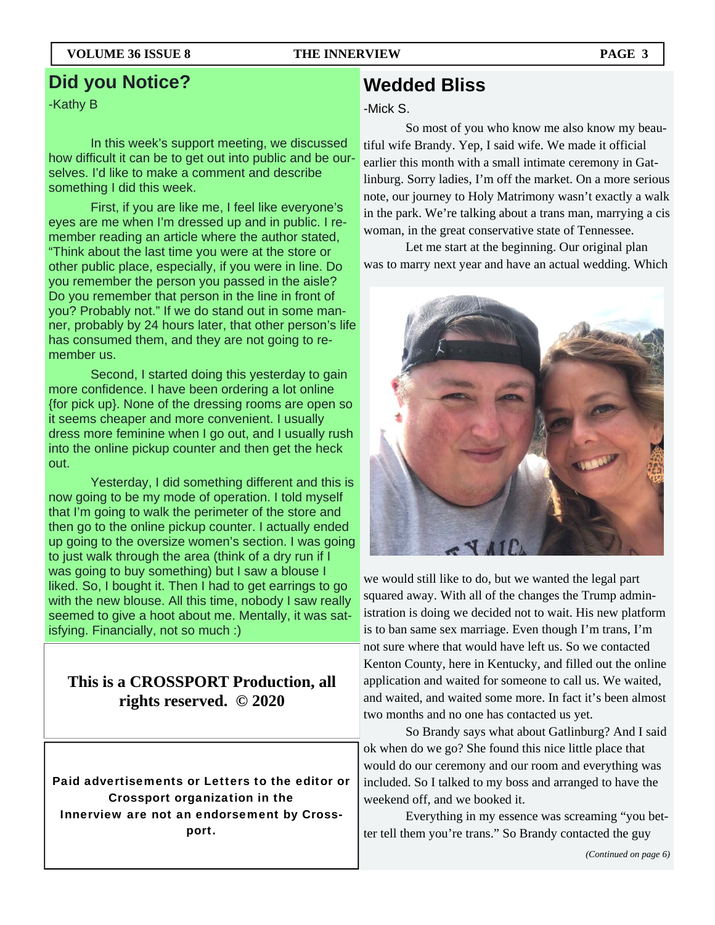**Did you Notice?** 

#### -Kathy B

 In this week's support meeting, we discussed how difficult it can be to get out into public and be ourselves. I'd like to make a comment and describe something I did this week.

 First, if you are like me, I feel like everyone's eyes are me when I'm dressed up and in public. I remember reading an article where the author stated, "Think about the last time you were at the store or other public place, especially, if you were in line. Do you remember the person you passed in the aisle? Do you remember that person in the line in front of you? Probably not." If we do stand out in some manner, probably by 24 hours later, that other person's life has consumed them, and they are not going to remember us.

 Second, I started doing this yesterday to gain more confidence. I have been ordering a lot online {for pick up}. None of the dressing rooms are open so it seems cheaper and more convenient. I usually dress more feminine when I go out, and I usually rush into the online pickup counter and then get the heck out.

 Yesterday, I did something different and this is now going to be my mode of operation. I told myself that I'm going to walk the perimeter of the store and then go to the online pickup counter. I actually ended up going to the oversize women's section. I was going to just walk through the area (think of a dry run if I was going to buy something) but I saw a blouse I liked. So, I bought it. Then I had to get earrings to go with the new blouse. All this time, nobody I saw really seemed to give a hoot about me. Mentally, it was satisfying. Financially, not so much :)

## **This is a CROSSPORT Production, all rights reserved. © 2020**

Paid advertisements or Letters to the editor or Crossport organization in the Innerview are not an endorsement by Crossport.

# **Wedded Bliss**

#### -Mick S.

 So most of you who know me also know my beautiful wife Brandy. Yep, I said wife. We made it official earlier this month with a small intimate ceremony in Gatlinburg. Sorry ladies, I'm off the market. On a more serious note, our journey to Holy Matrimony wasn't exactly a walk in the park. We're talking about a trans man, marrying a cis woman, in the great conservative state of Tennessee.

 Let me start at the beginning. Our original plan was to marry next year and have an actual wedding. Which



we would still like to do, but we wanted the legal part squared away. With all of the changes the Trump administration is doing we decided not to wait. His new platform is to ban same sex marriage. Even though I'm trans, I'm not sure where that would have left us. So we contacted Kenton County, here in Kentucky, and filled out the online application and waited for someone to call us. We waited, and waited, and waited some more. In fact it's been almost two months and no one has contacted us yet.

 So Brandy says what about Gatlinburg? And I said ok when do we go? She found this nice little place that would do our ceremony and our room and everything was included. So I talked to my boss and arranged to have the weekend off, and we booked it.

 Everything in my essence was screaming "you better tell them you're trans." So Brandy contacted the guy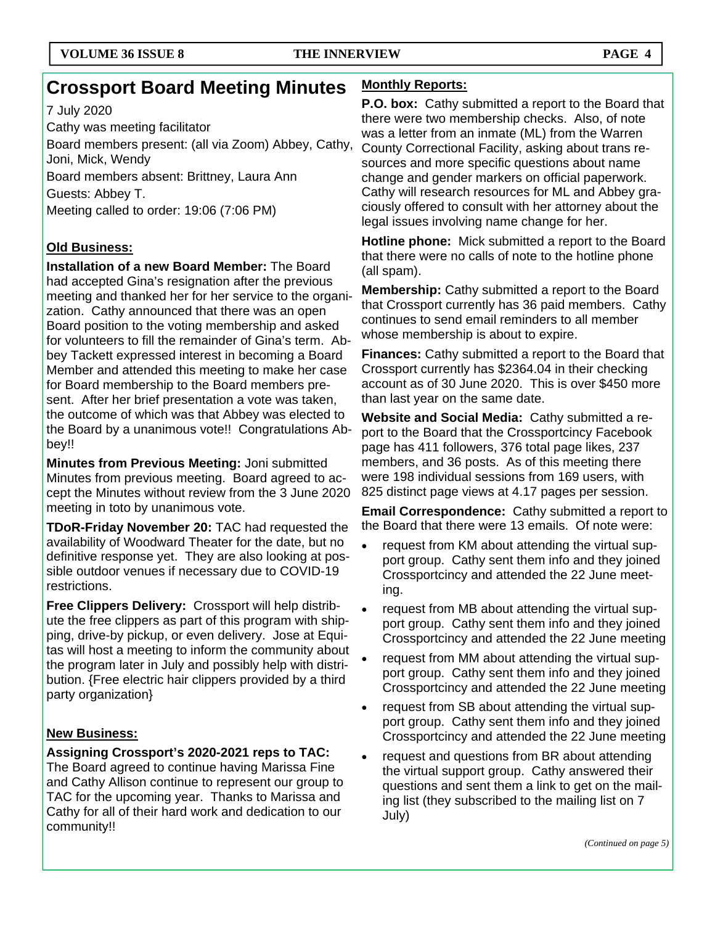# **Crossport Board Meeting Minutes**

### 7 July 2020

Cathy was meeting facilitator

Board members present: (all via Zoom) Abbey, Cathy, Joni, Mick, Wendy

Board members absent: Brittney, Laura Ann

Guests: Abbey T.

Meeting called to order: 19:06 (7:06 PM)

## **Old Business:**

**Installation of a new Board Member:** The Board had accepted Gina's resignation after the previous meeting and thanked her for her service to the organization. Cathy announced that there was an open Board position to the voting membership and asked for volunteers to fill the remainder of Gina's term. Abbey Tackett expressed interest in becoming a Board Member and attended this meeting to make her case for Board membership to the Board members present. After her brief presentation a vote was taken, the outcome of which was that Abbey was elected to the Board by a unanimous vote!! Congratulations Abbey!!

**Minutes from Previous Meeting:** Joni submitted Minutes from previous meeting. Board agreed to accept the Minutes without review from the 3 June 2020 meeting in toto by unanimous vote.

**TDoR-Friday November 20:** TAC had requested the availability of Woodward Theater for the date, but no definitive response yet. They are also looking at possible outdoor venues if necessary due to COVID-19 restrictions.

**Free Clippers Delivery:** Crossport will help distribute the free clippers as part of this program with shipping, drive-by pickup, or even delivery. Jose at Equitas will host a meeting to inform the community about the program later in July and possibly help with distribution. {Free electric hair clippers provided by a third party organization}

## **New Business:**

**Assigning Crossport's 2020-2021 reps to TAC:**  The Board agreed to continue having Marissa Fine and Cathy Allison continue to represent our group to TAC for the upcoming year. Thanks to Marissa and Cathy for all of their hard work and dedication to our community!!

### **Monthly Reports:**

**P.O. box:** Cathy submitted a report to the Board that there were two membership checks. Also, of note was a letter from an inmate (ML) from the Warren County Correctional Facility, asking about trans resources and more specific questions about name change and gender markers on official paperwork. Cathy will research resources for ML and Abbey graciously offered to consult with her attorney about the legal issues involving name change for her.

**Hotline phone:** Mick submitted a report to the Board that there were no calls of note to the hotline phone (all spam).

**Membership:** Cathy submitted a report to the Board that Crossport currently has 36 paid members. Cathy continues to send email reminders to all member whose membership is about to expire.

**Finances:** Cathy submitted a report to the Board that Crossport currently has \$2364.04 in their checking account as of 30 June 2020. This is over \$450 more than last year on the same date.

**Website and Social Media:** Cathy submitted a report to the Board that the Crossportcincy Facebook page has 411 followers, 376 total page likes, 237 members, and 36 posts. As of this meeting there were 198 individual sessions from 169 users, with 825 distinct page views at 4.17 pages per session.

**Email Correspondence:** Cathy submitted a report to the Board that there were 13 emails. Of note were:

- request from KM about attending the virtual support group. Cathy sent them info and they joined Crossportcincy and attended the 22 June meeting.
- request from MB about attending the virtual support group. Cathy sent them info and they joined Crossportcincy and attended the 22 June meeting
- request from MM about attending the virtual support group. Cathy sent them info and they joined Crossportcincy and attended the 22 June meeting
- request from SB about attending the virtual support group. Cathy sent them info and they joined Crossportcincy and attended the 22 June meeting
- request and questions from BR about attending the virtual support group. Cathy answered their questions and sent them a link to get on the mailing list (they subscribed to the mailing list on 7 July)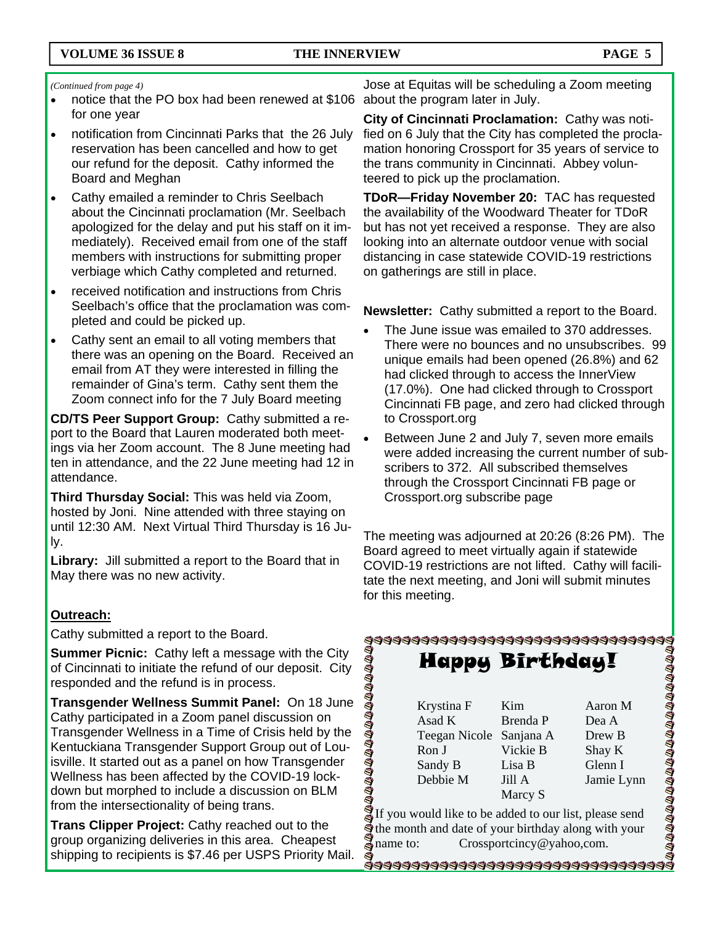#### *(Continued from page 4)*

- notice that the PO box had been renewed at \$106 about the program later in July. for one year
- notification from Cincinnati Parks that the 26 July reservation has been cancelled and how to get our refund for the deposit. Cathy informed the Board and Meghan
- Cathy emailed a reminder to Chris Seelbach about the Cincinnati proclamation (Mr. Seelbach apologized for the delay and put his staff on it immediately). Received email from one of the staff members with instructions for submitting proper verbiage which Cathy completed and returned.
- received notification and instructions from Chris Seelbach's office that the proclamation was completed and could be picked up.
- Cathy sent an email to all voting members that there was an opening on the Board. Received an email from AT they were interested in filling the remainder of Gina's term. Cathy sent them the Zoom connect info for the 7 July Board meeting

**CD/TS Peer Support Group:** Cathy submitted a report to the Board that Lauren moderated both meetings via her Zoom account. The 8 June meeting had ten in attendance, and the 22 June meeting had 12 in attendance.

**Third Thursday Social:** This was held via Zoom, hosted by Joni. Nine attended with three staying on until 12:30 AM. Next Virtual Third Thursday is 16 July.

**Library:** Jill submitted a report to the Board that in May there was no new activity.

#### **Outreach:**

Cathy submitted a report to the Board.

**Summer Picnic:** Cathy left a message with the City of Cincinnati to initiate the refund of our deposit. City responded and the refund is in process.

**Transgender Wellness Summit Panel:** On 18 June Cathy participated in a Zoom panel discussion on Transgender Wellness in a Time of Crisis held by the Kentuckiana Transgender Support Group out of Louisville. It started out as a panel on how Transgender Wellness has been affected by the COVID-19 lockdown but morphed to include a discussion on BLM from the intersectionality of being trans.

**Trans Clipper Project:** Cathy reached out to the group organizing deliveries in this area. Cheapest shipping to recipients is \$7.46 per USPS Priority Mail.

Jose at Equitas will be scheduling a Zoom meeting

**City of Cincinnati Proclamation:** Cathy was notified on 6 July that the City has completed the proclamation honoring Crossport for 35 years of service to the trans community in Cincinnati. Abbey volunteered to pick up the proclamation.

**TDoR—Friday November 20:** TAC has requested the availability of the Woodward Theater for TDoR but has not yet received a response. They are also looking into an alternate outdoor venue with social distancing in case statewide COVID-19 restrictions on gatherings are still in place.

**Newsletter:** Cathy submitted a report to the Board.

- The June issue was emailed to 370 addresses. There were no bounces and no unsubscribes. 99 unique emails had been opened (26.8%) and 62 had clicked through to access the InnerView (17.0%). One had clicked through to Crossport Cincinnati FB page, and zero had clicked through to Crossport.org
- Between June 2 and July 7, seven more emails were added increasing the current number of subscribers to 372. All subscribed themselves through the Crossport Cincinnati FB page or Crossport.org subscribe page

The meeting was adjourned at 20:26 (8:26 PM). The Board agreed to meet virtually again if statewide COVID-19 restrictions are not lifted. Cathy will facilitate the next meeting, and Joni will submit minutes for this meeting.

# 44444444444444444444444444444444 **DAAAAAAAAAAAAAAA**

Happy Birthday!

| Krystina F              | Kim      | Aaron M    |
|-------------------------|----------|------------|
| Asad K                  | Brenda P | Dea A      |
| Teegan Nicole Sanjana A |          | Drew B     |
| Ron J                   | Vickie B | Shay K     |
| Sandy B                 | Lisa B   | Glenn I    |
| Debbie M                | Jill A   | Jamie Lynn |
|                         | Marcy S  |            |

**DIADADADADADADADADADADAD** 

If you would like to be added to our list, please send  $\ddot{a}$  the month and date of your birthday along with your  $a$  name to: Crossportcincy@yahoo,com. Crossportcincy@yahoo,com.

\*\$\$\$\$\$\$\$\$\$\$\$\$\$\$\$\$\$\$\$\$\$\$\$\$\$\$\$\$\$\$\$\$\$\$\$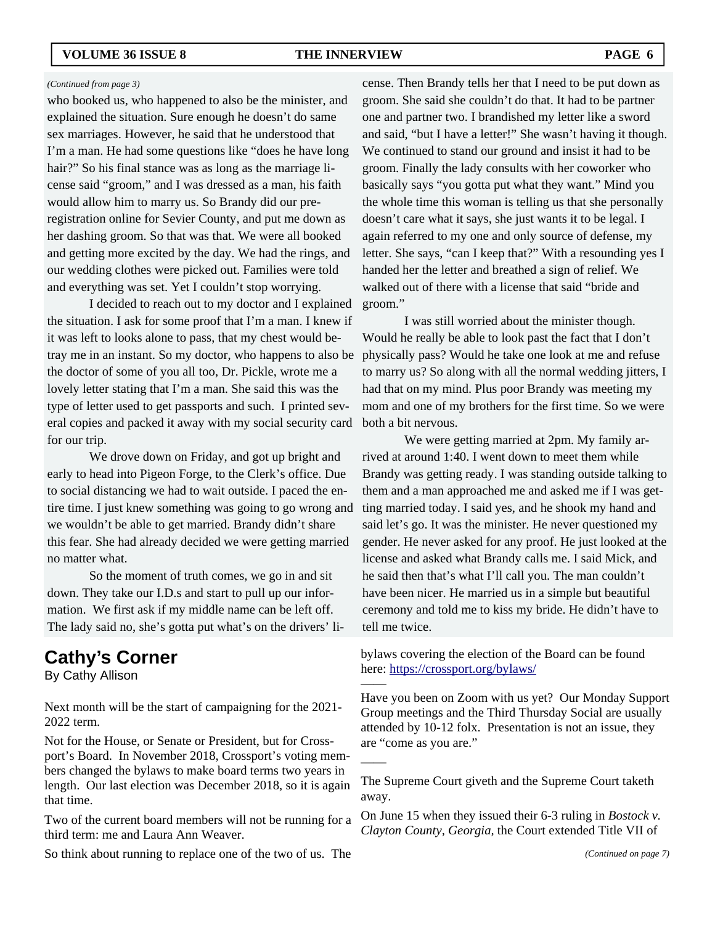#### *(Continued from page 3)*

who booked us, who happened to also be the minister, and explained the situation. Sure enough he doesn't do same sex marriages. However, he said that he understood that I'm a man. He had some questions like "does he have long hair?" So his final stance was as long as the marriage license said "groom," and I was dressed as a man, his faith would allow him to marry us. So Brandy did our preregistration online for Sevier County, and put me down as her dashing groom. So that was that. We were all booked and getting more excited by the day. We had the rings, and our wedding clothes were picked out. Families were told and everything was set. Yet I couldn't stop worrying.

 I decided to reach out to my doctor and I explained the situation. I ask for some proof that I'm a man. I knew if it was left to looks alone to pass, that my chest would betray me in an instant. So my doctor, who happens to also be the doctor of some of you all too, Dr. Pickle, wrote me a lovely letter stating that I'm a man. She said this was the type of letter used to get passports and such. I printed several copies and packed it away with my social security card for our trip.

 We drove down on Friday, and got up bright and early to head into Pigeon Forge, to the Clerk's office. Due to social distancing we had to wait outside. I paced the entire time. I just knew something was going to go wrong and we wouldn't be able to get married. Brandy didn't share this fear. She had already decided we were getting married no matter what.

 So the moment of truth comes, we go in and sit down. They take our I.D.s and start to pull up our information. We first ask if my middle name can be left off. The lady said no, she's gotta put what's on the drivers' li-

# **Cathy's Corner**

By Cathy Allison

Next month will be the start of campaigning for the 2021- 2022 term.

Not for the House, or Senate or President, but for Crossport's Board. In November 2018, Crossport's voting members changed the bylaws to make board terms two years in length. Our last election was December 2018, so it is again that time.

Two of the current board members will not be running for a third term: me and Laura Ann Weaver.

So think about running to replace one of the two of us. The

cense. Then Brandy tells her that I need to be put down as groom. She said she couldn't do that. It had to be partner one and partner two. I brandished my letter like a sword and said, "but I have a letter!" She wasn't having it though. We continued to stand our ground and insist it had to be groom. Finally the lady consults with her coworker who basically says "you gotta put what they want." Mind you the whole time this woman is telling us that she personally doesn't care what it says, she just wants it to be legal. I again referred to my one and only source of defense, my letter. She says, "can I keep that?" With a resounding yes I handed her the letter and breathed a sign of relief. We walked out of there with a license that said "bride and groom."

 I was still worried about the minister though. Would he really be able to look past the fact that I don't physically pass? Would he take one look at me and refuse to marry us? So along with all the normal wedding jitters, I had that on my mind. Plus poor Brandy was meeting my mom and one of my brothers for the first time. So we were both a bit nervous.

 We were getting married at 2pm. My family arrived at around 1:40. I went down to meet them while Brandy was getting ready. I was standing outside talking to them and a man approached me and asked me if I was getting married today. I said yes, and he shook my hand and said let's go. It was the minister. He never questioned my gender. He never asked for any proof. He just looked at the license and asked what Brandy calls me. I said Mick, and he said then that's what I'll call you. The man couldn't have been nicer. He married us in a simple but beautiful ceremony and told me to kiss my bride. He didn't have to tell me twice.

bylaws covering the election of the Board can be found here: https://crossport.org/bylaws/

——

——

Have you been on Zoom with us yet? Our Monday Support Group meetings and the Third Thursday Social are usually attended by 10-12 folx. Presentation is not an issue, they are "come as you are."

The Supreme Court giveth and the Supreme Court taketh away.

On June 15 when they issued their 6-3 ruling in *Bostock v. Clayton County, Georgia,* the Court extended Title VII of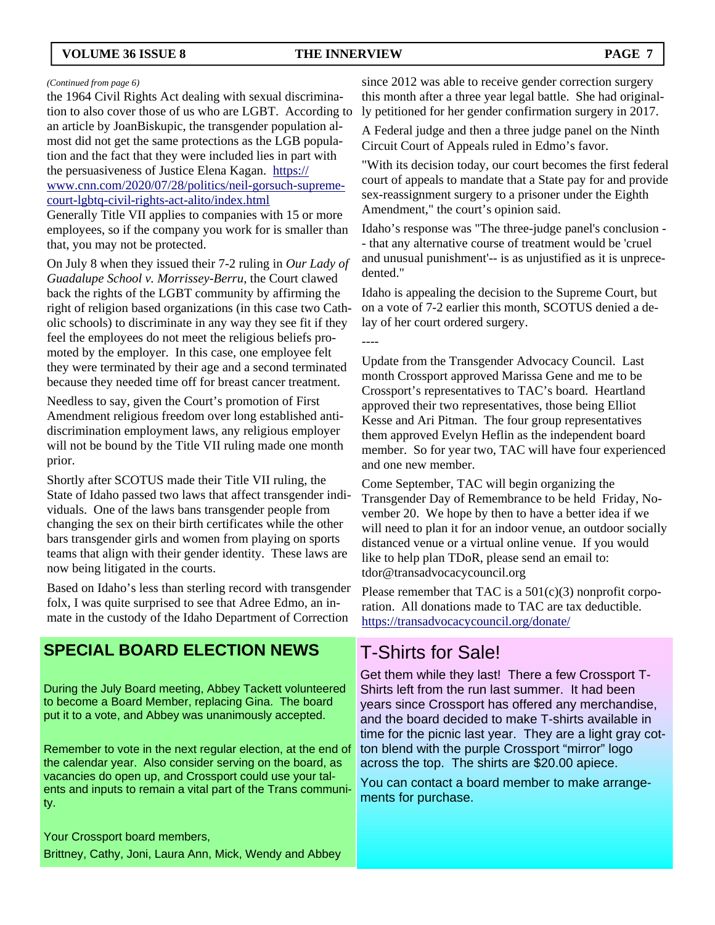#### **VOLUME 36 ISSUE 8 THE INNERVIEW PAGE 7**

----

#### *(Continued from page 6)*

the 1964 Civil Rights Act dealing with sexual discrimination to also cover those of us who are LGBT. According to an article by JoanBiskupic, the transgender population almost did not get the same protections as the LGB population and the fact that they were included lies in part with the persuasiveness of Justice Elena Kagan. https:// www.cnn.com/2020/07/28/politics/neil-gorsuch-supremecourt-lgbtq-civil-rights-act-alito/index.html

Generally Title VII applies to companies with 15 or more employees, so if the company you work for is smaller than that, you may not be protected.

On July 8 when they issued their 7-2 ruling in *Our Lady of Guadalupe School v. Morrissey-Berru,* the Court clawed back the rights of the LGBT community by affirming the right of religion based organizations (in this case two Catholic schools) to discriminate in any way they see fit if they feel the employees do not meet the religious beliefs promoted by the employer. In this case, one employee felt they were terminated by their age and a second terminated because they needed time off for breast cancer treatment.

Needless to say, given the Court's promotion of First Amendment religious freedom over long established antidiscrimination employment laws, any religious employer will not be bound by the Title VII ruling made one month prior.

Shortly after SCOTUS made their Title VII ruling, the State of Idaho passed two laws that affect transgender individuals. One of the laws bans transgender people from changing the sex on their birth certificates while the other bars transgender girls and women from playing on sports teams that align with their gender identity. These laws are now being litigated in the courts.

Based on Idaho's less than sterling record with transgender folx, I was quite surprised to see that Adree Edmo, an inmate in the custody of the Idaho Department of Correction

## **SPECIAL BOARD ELECTION NEWS**

During the July Board meeting, Abbey Tackett volunteered to become a Board Member, replacing Gina. The board put it to a vote, and Abbey was unanimously accepted.

Remember to vote in the next regular election, at the end of the calendar year. Also consider serving on the board, as vacancies do open up, and Crossport could use your talents and inputs to remain a vital part of the Trans community.

Your Crossport board members, Brittney, Cathy, Joni, Laura Ann, Mick, Wendy and Abbey

since 2012 was able to receive gender correction surgery this month after a three year legal battle. She had originally petitioned for her gender confirmation surgery in 2017.

A Federal judge and then a three judge panel on the Ninth Circuit Court of Appeals ruled in Edmo's favor.

"With its decision today, our court becomes the first federal court of appeals to mandate that a State pay for and provide sex-reassignment surgery to a prisoner under the Eighth Amendment," the court's opinion said.

Idaho's response was "The three-judge panel's conclusion - - that any alternative course of treatment would be 'cruel and unusual punishment'-- is as unjustified as it is unprecedented."

Idaho is appealing the decision to the Supreme Court, but on a vote of 7-2 earlier this month, SCOTUS denied a delay of her court ordered surgery.

Update from the Transgender Advocacy Council. Last month Crossport approved Marissa Gene and me to be Crossport's representatives to TAC's board. Heartland approved their two representatives, those being Elliot Kesse and Ari Pitman. The four group representatives them approved Evelyn Heflin as the independent board member. So for year two, TAC will have four experienced and one new member.

Come September, TAC will begin organizing the Transgender Day of Remembrance to be held Friday, November 20. We hope by then to have a better idea if we will need to plan it for an indoor venue, an outdoor socially distanced venue or a virtual online venue. If you would like to help plan TDoR, please send an email to: tdor@transadvocacycouncil.org

Please remember that TAC is a  $501(c)(3)$  nonprofit corporation. All donations made to TAC are tax deductible. https://transadvocacycouncil.org/donate/

## T-Shirts for Sale!

Get them while they last! There a few Crossport T-Shirts left from the run last summer. It had been years since Crossport has offered any merchandise, and the board decided to make T-shirts available in time for the picnic last year. They are a light gray cotton blend with the purple Crossport "mirror" logo across the top. The shirts are \$20.00 apiece.

You can contact a board member to make arrangements for purchase.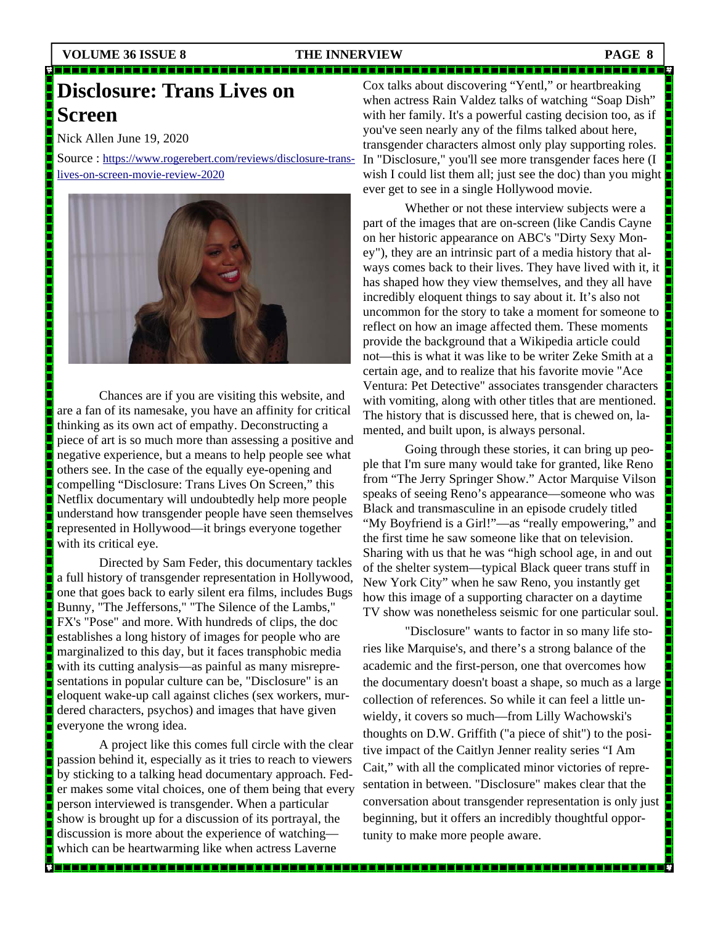n maan

n a stat

İ

Ī

<u>sa sa 1917 na katika sa 1917 na manana na manana na manana na manana na manana na manana na manana na manana na </u>

Ī

<u>mana sa mana</u>

#### 

# **Disclosure: Trans Lives on Screen**

Nick Allen June 19, 2020

Source : https://www.rogerebert.com/reviews/disclosure-translives-on-screen-movie-review-2020



 Chances are if you are visiting this website, and are a fan of its namesake, you have an affinity for critical thinking as its own act of empathy. Deconstructing a piece of art is so much more than assessing a positive and negative experience, but a means to help people see what others see. In the case of the equally eye-opening and compelling "Disclosure: Trans Lives On Screen," this Netflix documentary will undoubtedly help more people understand how transgender people have seen themselves represented in Hollywood—it brings everyone together with its critical eye.

 Directed by Sam Feder, this documentary tackles a full history of transgender representation in Hollywood, one that goes back to early silent era films, includes Bugs Bunny, "The Jeffersons," "The Silence of the Lambs," FX's "Pose" and more. With hundreds of clips, the doc establishes a long history of images for people who are marginalized to this day, but it faces transphobic media with its cutting analysis—as painful as many misrepresentations in popular culture can be, "Disclosure" is an eloquent wake-up call against cliches (sex workers, murdered characters, psychos) and images that have given everyone the wrong idea.

 A project like this comes full circle with the clear passion behind it, especially as it tries to reach to viewers by sticking to a talking head documentary approach. Feder makes some vital choices, one of them being that every person interviewed is transgender. When a particular show is brought up for a discussion of its portrayal, the discussion is more about the experience of watching which can be heartwarming like when actress Laverne

Cox talks about discovering "Yentl," or heartbreaking when actress Rain Valdez talks of watching "Soap Dish" with her family. It's a powerful casting decision too, as if you've seen nearly any of the films talked about here, transgender characters almost only play supporting roles. In "Disclosure," you'll see more transgender faces here (I wish I could list them all; just see the doc) than you might ever get to see in a single Hollywood movie.

 Whether or not these interview subjects were a part of the images that are on-screen (like Candis Cayne on her historic appearance on ABC's "Dirty Sexy Money"), they are an intrinsic part of a media history that always comes back to their lives. They have lived with it, it has shaped how they view themselves, and they all have incredibly eloquent things to say about it. It's also not uncommon for the story to take a moment for someone to reflect on how an image affected them. These moments provide the background that a Wikipedia article could not—this is what it was like to be writer Zeke Smith at a certain age, and to realize that his favorite movie "Ace Ventura: Pet Detective" associates transgender characters with vomiting, along with other titles that are mentioned. The history that is discussed here, that is chewed on, lamented, and built upon, is always personal.

 Going through these stories, it can bring up people that I'm sure many would take for granted, like Reno from "The Jerry Springer Show." Actor Marquise Vilson speaks of seeing Reno's appearance—someone who was Black and transmasculine in an episode crudely titled "My Boyfriend is a Girl!"—as "really empowering," and the first time he saw someone like that on television. Sharing with us that he was "high school age, in and out of the shelter system—typical Black queer trans stuff in New York City" when he saw Reno, you instantly get how this image of a supporting character on a daytime TV show was nonetheless seismic for one particular soul.

 "Disclosure" wants to factor in so many life stories like Marquise's, and there's a strong balance of the academic and the first-person, one that overcomes how the documentary doesn't boast a shape, so much as a large collection of references. So while it can feel a little unwieldy, it covers so much—from Lilly Wachowski's thoughts on D.W. Griffith ("a piece of shit") to the positive impact of the Caitlyn Jenner reality series "I Am Cait," with all the complicated minor victories of representation in between. "Disclosure" makes clear that the conversation about transgender representation is only just beginning, but it offers an incredibly thoughtful opportunity to make more people aware.

-------------------------------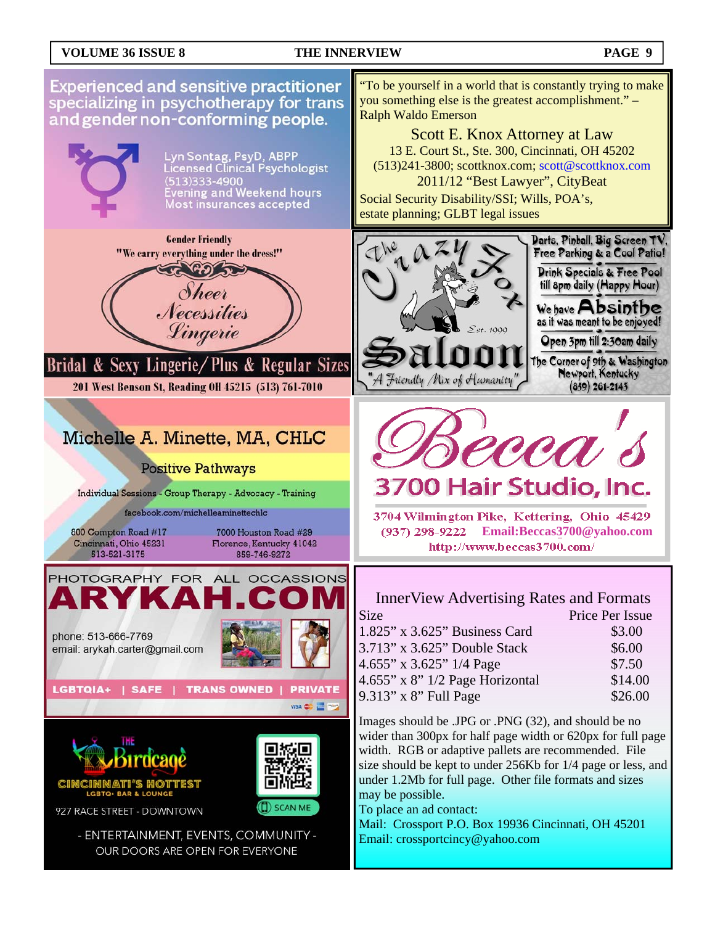#### **VOLUME 36 ISSUE 8 THE INNERVIEW PAGE 9**